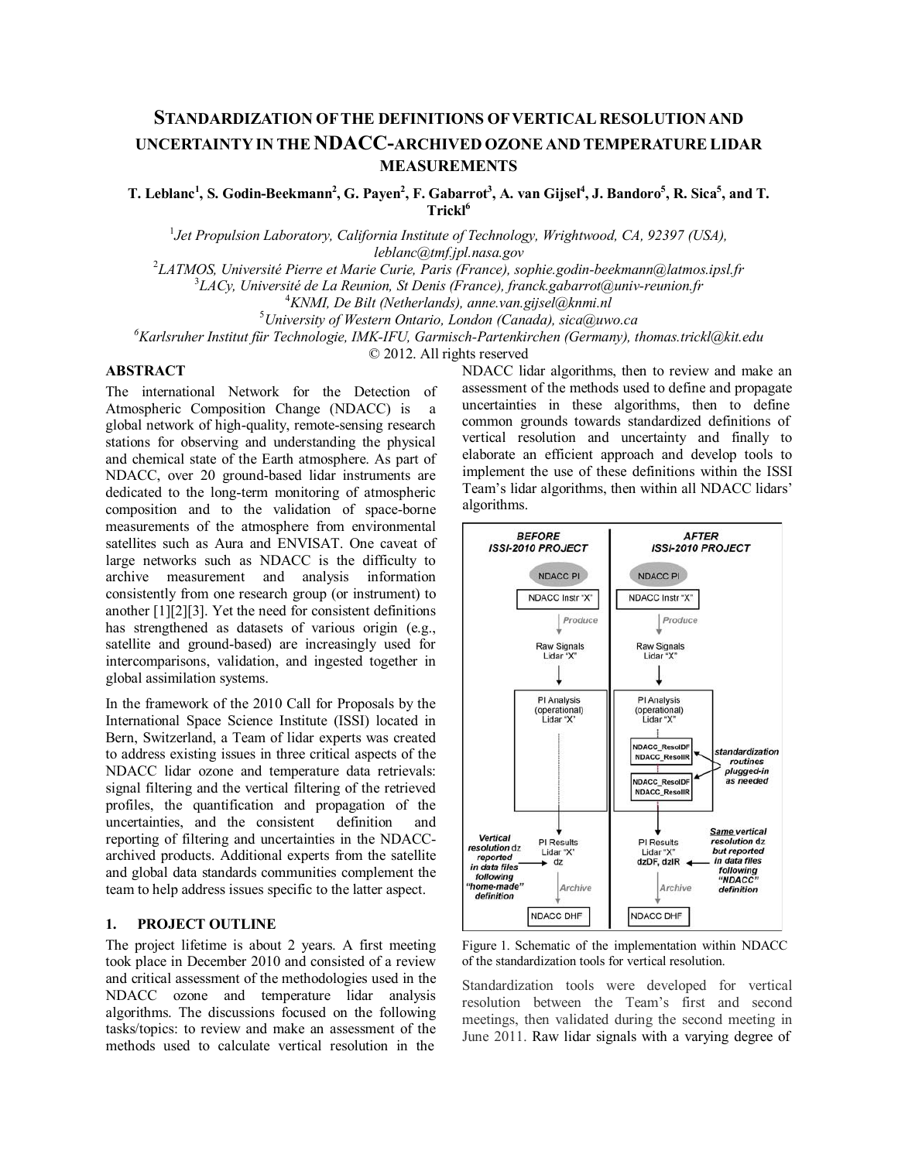# **STANDARDIZATION OF THE DEFINITIONS OF VERTICAL RESOLUTION AND UNCERTAINTY IN THE NDACC-ARCHIVED OZONE AND TEMPERATURE LIDAR MEASUREMENTS**

 $T$ . Leblanc<sup>1</sup>, S. Godin-Beekmann<sup>2</sup>, G. Payen<sup>2</sup>, F. Gabarrot<sup>3</sup>, A. van Gijsel<sup>4</sup>, J. Bandoro<sup>5</sup>, R. Sica<sup>5</sup>, and T. Trickl<sup>6</sup>

1 *Jet Propulsion Laboratory, California Institute of Technology, Wrightwood, CA, 92397 (USA)[,](mailto:leblanc@tmf.jpl.nasa.gov)*

*[leblanc@tmf.jpl.nasa.gov](mailto:leblanc@tmf.jpl.nasa.gov)* <sup>2</sup> *LATMOS, Université Pierre et Marie Curie, Paris (France[\), sophie.godin-beekmann@latmos.ipsl.fr](mailto:sophie.godin-beekmann@latmos.ipsl.fr)*

3 *LACy, Université de La Reunion, St Denis (France[\), franck.gabarrot@univ-reunion.fr](mailto:franck.gabarrot@univ-reunion.fr)* <sup>4</sup>

*KNMI, De Bilt (Netherlands)[, anne.van.gijsel@knmi.nl](mailto:anne.van.gijsel@knmi.nl)* <sup>5</sup>

*University of Western Ontario, London (Canada)[, sica@uwo.ca](mailto:sica@uwo.ca)*

*6 Karlsruher Institut für Technologie, IMK-IFU, Garmisch-Partenkirchen (Germany), [thomas.trickl@kit.edu](mailto:thomas.trickl@kit.edu)*

© 2012. All rights reserved

### **ABSTRACT**

The international Network for the Detection of Atmospheric Composition Change (NDACC) is a global network of high-quality, remote-sensing research stations for observing and understanding the physical and chemical state of the Earth atmosphere. As part of NDACC, over 20 ground-based lidar instruments are dedicated to the long-term monitoring of atmospheric composition and to the validation of space-borne measurements of the atmosphere from environmental satellites such as Aura and ENVISAT. One caveat of large networks such as NDACC is the difficulty to archive measurement and analysis information consistently from one research group (or instrument) to another [1][2][3]. Yet the need for consistent definitions has strengthened as datasets of various origin (e.g., satellite and ground-based) are increasingly used for intercomparisons, validation, and ingested together in global assimilation systems.

In the framework of the 2010 Call for Proposals by the International Space Science Institute (ISSI) located in Bern, Switzerland, a Team of lidar experts was created to address existing issues in three critical aspects of the NDACC lidar ozone and temperature data retrievals: signal filtering and the vertical filtering of the retrieved profiles, the quantification and propagation of the uncertainties, and the consistent definition and reporting of filtering and uncertainties in the NDACCarchived products. Additional experts from the satellite and global data standards communities complement the team to help address issues specific to the latter aspect.

#### **1. PROJECT OUTLINE**

The project lifetime is about 2 years. A first meeting took place in December 2010 and consisted of a review and critical assessment of the methodologies used in the NDACC ozone and temperature lidar analysis algorithms. The discussions focused on the following tasks/topics: to review and make an assessment of the methods used to calculate vertical resolution in the

NDACC lidar algorithms, then to review and make an assessment of the methods used to define and propagate uncertainties in these algorithms, then to define common grounds towards standardized definitions of vertical resolution and uncertainty and finally to elaborate an efficient approach and develop tools to implement the use of these definitions within the ISSI Team's lidar algorithms, then within all NDACC lidars' algorithms.



Figure 1. Schematic of the implementation within NDACC of the standardization tools for vertical resolution.

Standardization tools were developed for vertical resolution between the Team's first and second meetings, then validated during the second meeting in June 2011. Raw lidar signals with a varying degree of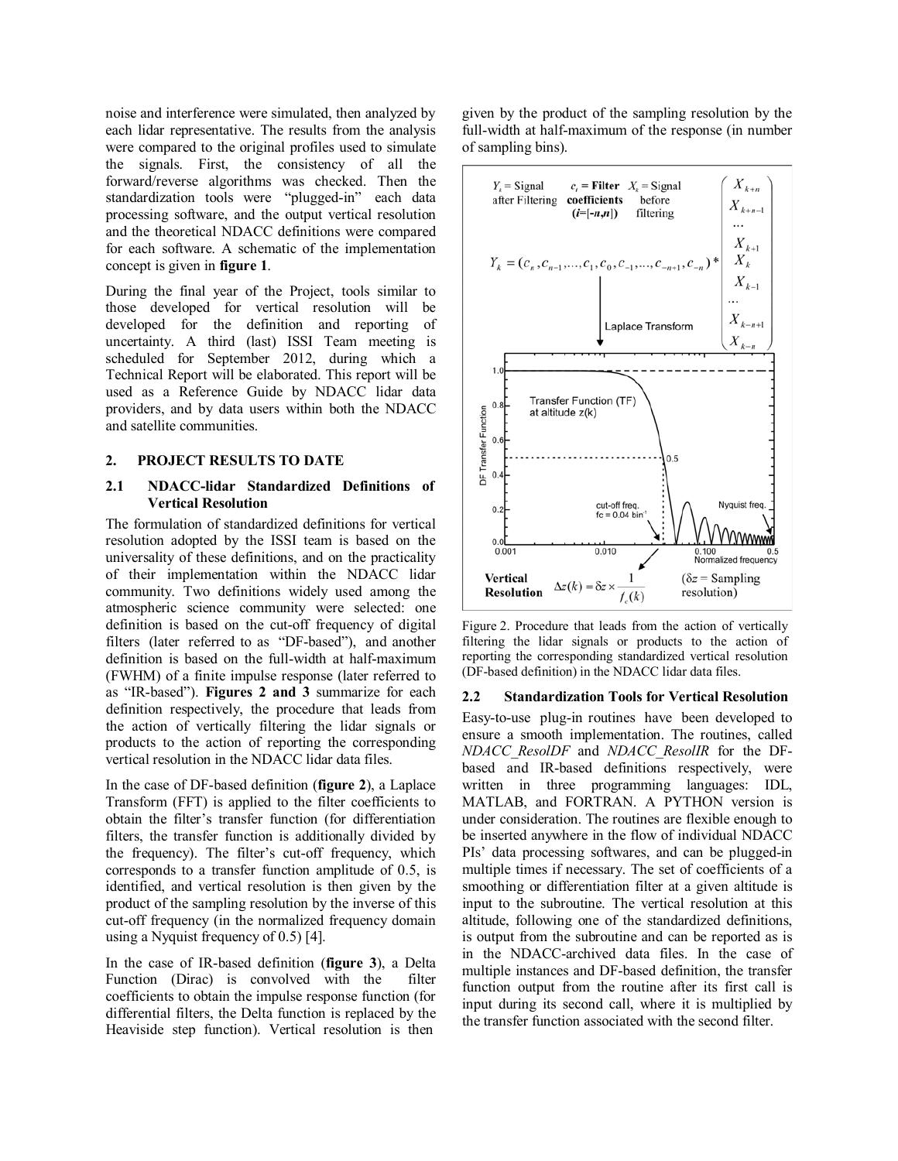noise and interference were simulated, then analyzed by each lidar representative. The results from the analysis were compared to the original profiles used to simulate the signals. First, the consistency of all the forward/reverse algorithms was checked. Then the standardization tools were "plugged-in" each data processing software, and the output vertical resolution and the theoretical NDACC definitions were compared for each software. A schematic of the implementation concept is given in **figure 1**.

During the final year of the Project, tools similar to those developed for vertical resolution will be developed for the definition and reporting of uncertainty. A third (last) ISSI Team meeting is scheduled for September 2012, during which a Technical Report will be elaborated. This report will be used as a Reference Guide by NDACC lidar data providers, and by data users within both the NDACC and satellite communities.

## **2. PROJECT RESULTS TO DATE**

#### **2.1 NDACC-lidar Standardized Definitions of Vertical Resolution**

The formulation of standardized definitions for vertical resolution adopted by the ISSI team is based on the universality of these definitions, and on the practicality of their implementation within the NDACC lidar community. Two definitions widely used among the atmospheric science community were selected: one definition is based on the cut-off frequency of digital filters (later referred to as "DF-based"), and another definition is based on the full-width at half-maximum (FWHM) of a finite impulse response (later referred to as "IR-based"). **Figures 2 and 3** summarize for each definition respectively, the procedure that leads from the action of vertically filtering the lidar signals or products to the action of reporting the corresponding vertical resolution in the NDACC lidar data files.

In the case of DF-based definition (**figure 2**), a Laplace Transform (FFT) is applied to the filter coefficients to obtain the filter's transfer function (for differentiation filters, the transfer function is additionally divided by the frequency). The filter's cut-off frequency, which corresponds to a transfer function amplitude of 0.5, is identified, and vertical resolution is then given by the product of the sampling resolution by the inverse of this cut-off frequency (in the normalized frequency domain using a Nyquist frequency of 0.5) [4].

In the case of IR-based definition (**figure 3**), a Delta Function (Dirac) is convolved with the filter coefficients to obtain the impulse response function (for differential filters, the Delta function is replaced by the Heaviside step function). Vertical resolution is then

given by the product of the sampling resolution by the full-width at half-maximum of the response (in number of sampling bins).



Figure 2. Procedure that leads from the action of vertically filtering the lidar signals or products to the action of reporting the corresponding standardized vertical resolution (DF-based definition) in the NDACC lidar data files.

#### **2.2 Standardization Tools for Vertical Resolution**

Easy-to-use plug-in routines have been developed to ensure a smooth implementation. The routines, called *NDACC\_ResolDF* and *NDACC\_ResolIR* for the DFbased and IR-based definitions respectively, were written in three programming languages: IDL, MATLAB, and FORTRAN. A PYTHON version is under consideration. The routines are flexible enough to be inserted anywhere in the flow of individual NDACC PIs' data processing softwares, and can be plugged-in multiple times if necessary. The set of coefficients of a smoothing or differentiation filter at a given altitude is input to the subroutine. The vertical resolution at this altitude, following one of the standardized definitions, is output from the subroutine and can be reported as is in the NDACC-archived data files. In the case of multiple instances and DF-based definition, the transfer function output from the routine after its first call is input during its second call, where it is multiplied by the transfer function associated with the second filter.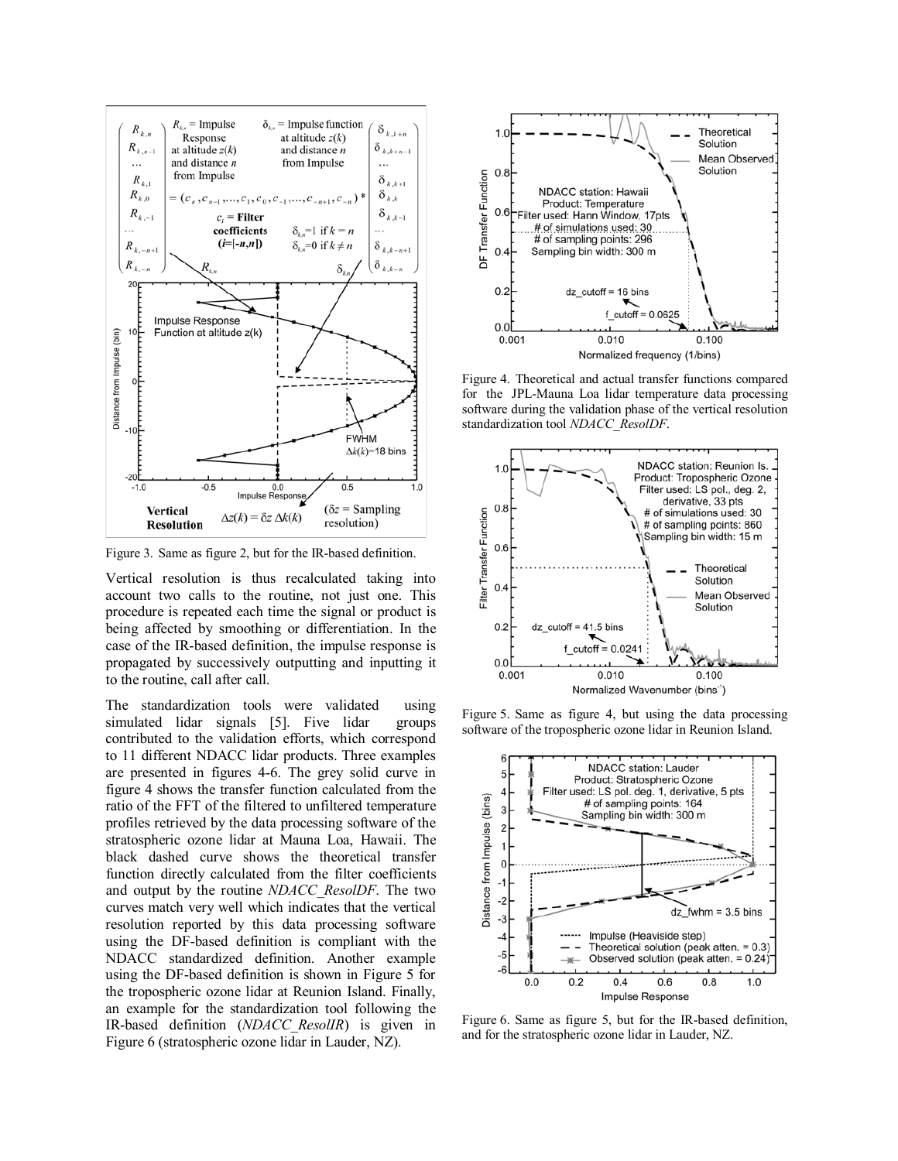

Figure 3. Same as figure 2, but for the IR-based definition.

Vertical resolution is thus recalculated taking into account two calls to the routine, not just one. This procedure is repeated each time the signal or product is being affected by smoothing or differentiation. In the case of the IR-based definition, the impulse response is propagated by successively outputting and inputting it to the routine, call after call.

The standardization tools were validated using simulated lidar signals [5]. Five lidar groups contributed to the validation efforts, which correspond to 11 different NDACC lidar products. Three examples are presented in figures 4-6. The grey solid curve in figure 4 shows the transfer function calculated from the ratio of the FFT of the filtered to unfiltered temperature profiles retrieved by the data processing software of the stratospheric ozone lidar at Mauna Loa, Hawaii. The black dashed curve shows the theoretical transfer function directly calculated from the filter coefficients and output by the routine *NDACC\_ResolDF*. The two curves match very well which indicates that the vertical resolution reported by this data processing software using the DF-based definition is compliant with the NDACC standardized definition. Another example using the DF-based definition is shown in Figure 5 for the tropospheric ozone lidar at Reunion Island. Finally, an example for the standardization tool following the IR-based definition (*NDACC\_ResolIR*) is given in Figure 6 (stratospheric ozone lidar in Lauder, NZ).



Figure 4. Theoretical and actual transfer functions compared for the JPL-Mauna Loa lidar temperature data processing software during the validation phase of the vertical resolution standardization tool *NDACC\_ResolDF*.



Figure 5. Same as figure 4, but using the data processing software of the tropospheric ozone lidar in Reunion Island.



Figure 6. Same as figure 5, but for the IR-based definition, and for the stratospheric ozone lidar in Lauder, NZ.